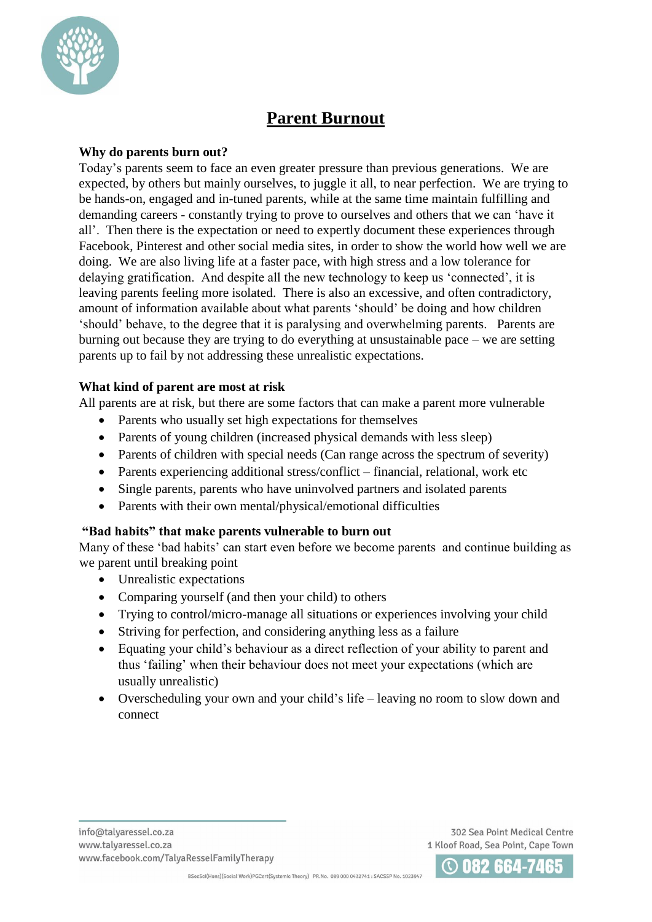

# **Parent Burnout**

### **Why do parents burn out?**

Today's parents seem to face an even greater pressure than previous generations. We are expected, by others but mainly ourselves, to juggle it all, to near perfection. We are trying to be hands-on, engaged and in-tuned parents, while at the same time maintain fulfilling and demanding careers - constantly trying to prove to ourselves and others that we can 'have it all'. Then there is the expectation or need to expertly document these experiences through Facebook, Pinterest and other social media sites, in order to show the world how well we are doing. We are also living life at a faster pace, with high stress and a low tolerance for delaying gratification. And despite all the new technology to keep us 'connected', it is leaving parents feeling more isolated. There is also an excessive, and often contradictory, amount of information available about what parents 'should' be doing and how children 'should' behave, to the degree that it is paralysing and overwhelming parents. Parents are burning out because they are trying to do everything at unsustainable pace – we are setting parents up to fail by not addressing these unrealistic expectations.

#### **What kind of parent are most at risk**

All parents are at risk, but there are some factors that can make a parent more vulnerable

- Parents who usually set high expectations for themselves
- Parents of young children (increased physical demands with less sleep)
- Parents of children with special needs (Can range across the spectrum of severity)
- Parents experiencing additional stress/conflict financial, relational, work etc
- Single parents, parents who have uninvolved partners and isolated parents
- Parents with their own mental/physical/emotional difficulties

#### **"Bad habits" that make parents vulnerable to burn out**

Many of these 'bad habits' can start even before we become parents and continue building as we parent until breaking point

- Unrealistic expectations
- Comparing yourself (and then your child) to others
- Trying to control/micro-manage all situations or experiences involving your child
- Striving for perfection, and considering anything less as a failure
- Equating your child's behaviour as a direct reflection of your ability to parent and thus 'failing' when their behaviour does not meet your expectations (which are usually unrealistic)
- Overscheduling your own and your child's life leaving no room to slow down and connect

302 Sea Point Medical Centre 1 Kloof Road, Sea Point, Cape Town